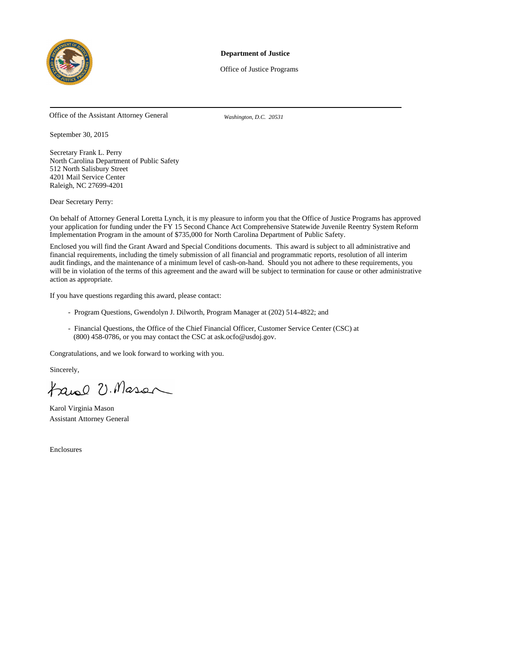

#### **Department of Justice**

Office of Justice Programs

Office of the Assistant Attorney General *Washington, D.C. 20531*

September 30, 2015

Secretary Frank L. Perry North Carolina Department of Public Safety 512 North Salisbury Street 4201 Mail Service Center Raleigh, NC 27699-4201

Dear Secretary Perry:

On behalf of Attorney General Loretta Lynch, it is my pleasure to inform you that the Office of Justice Programs has approved your application for funding under the FY 15 Second Chance Act Comprehensive Statewide Juvenile Reentry System Reform Implementation Program in the amount of \$735,000 for North Carolina Department of Public Safety.

Enclosed you will find the Grant Award and Special Conditions documents. This award is subject to all administrative and financial requirements, including the timely submission of all financial and programmatic reports, resolution of all interim audit findings, and the maintenance of a minimum level of cash-on-hand. Should you not adhere to these requirements, you will be in violation of the terms of this agreement and the award will be subject to termination for cause or other administrative action as appropriate.

If you have questions regarding this award, please contact:

- Program Questions, Gwendolyn J. Dilworth, Program Manager at (202) 514-4822; and
- Financial Questions, the Office of the Chief Financial Officer, Customer Service Center (CSC) at (800) 458-0786, or you may contact the CSC at ask.ocfo@usdoj.gov.

Congratulations, and we look forward to working with you.

Sincerely,

tanel U. Mason

Karol Virginia Mason Assistant Attorney General

Enclosures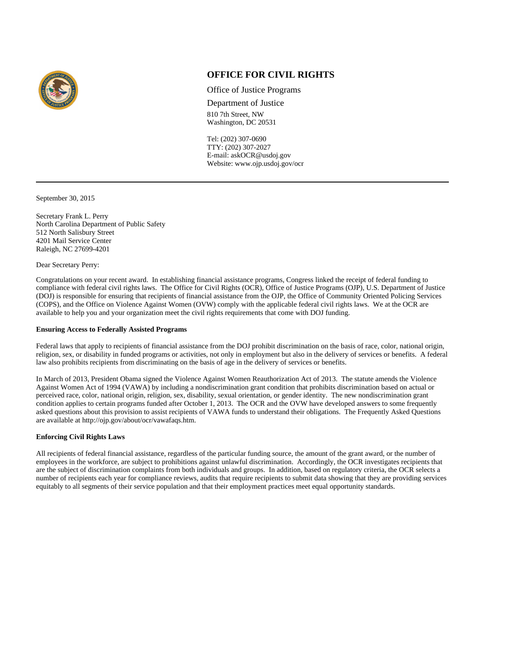

# **OFFICE FOR CIVIL RIGHTS**

Office of Justice Programs

Department of Justice 810 7th Street, NW Washington, DC 20531

Tel: (202) 307-0690 TTY: (202) 307-2027 E-mail: askOCR@usdoj.gov Website: www.ojp.usdoj.gov/ocr

September 30, 2015

Secretary Frank L. Perry North Carolina Department of Public Safety 512 North Salisbury Street 4201 Mail Service Center Raleigh, NC 27699-4201

Dear Secretary Perry:

Congratulations on your recent award. In establishing financial assistance programs, Congress linked the receipt of federal funding to compliance with federal civil rights laws. The Office for Civil Rights (OCR), Office of Justice Programs (OJP), U.S. Department of Justice (DOJ) is responsible for ensuring that recipients of financial assistance from the OJP, the Office of Community Oriented Policing Services (COPS), and the Office on Violence Against Women (OVW) comply with the applicable federal civil rights laws. We at the OCR are available to help you and your organization meet the civil rights requirements that come with DOJ funding.

#### **Ensuring Access to Federally Assisted Programs**

Federal laws that apply to recipients of financial assistance from the DOJ prohibit discrimination on the basis of race, color, national origin, religion, sex, or disability in funded programs or activities, not only in employment but also in the delivery of services or benefits. A federal law also prohibits recipients from discriminating on the basis of age in the delivery of services or benefits.

In March of 2013, President Obama signed the Violence Against Women Reauthorization Act of 2013. The statute amends the Violence Against Women Act of 1994 (VAWA) by including a nondiscrimination grant condition that prohibits discrimination based on actual or perceived race, color, national origin, religion, sex, disability, sexual orientation, or gender identity. The new nondiscrimination grant condition applies to certain programs funded after October 1, 2013. The OCR and the OVW have developed answers to some frequently asked questions about this provision to assist recipients of VAWA funds to understand their obligations. The Frequently Asked Questions are available at http://ojp.gov/about/ocr/vawafaqs.htm.

#### **Enforcing Civil Rights Laws**

All recipients of federal financial assistance, regardless of the particular funding source, the amount of the grant award, or the number of employees in the workforce, are subject to prohibitions against unlawful discrimination. Accordingly, the OCR investigates recipients that are the subject of discrimination complaints from both individuals and groups. In addition, based on regulatory criteria, the OCR selects a number of recipients each year for compliance reviews, audits that require recipients to submit data showing that they are providing services equitably to all segments of their service population and that their employment practices meet equal opportunity standards.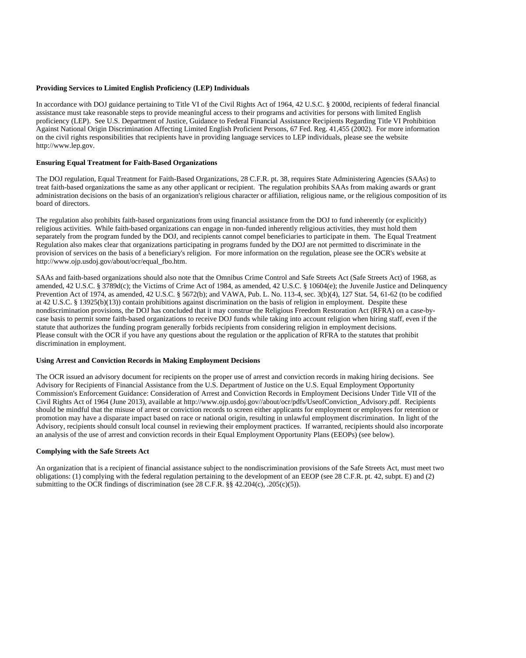#### **Providing Services to Limited English Proficiency (LEP) Individuals**

In accordance with DOJ guidance pertaining to Title VI of the Civil Rights Act of 1964, 42 U.S.C. § 2000d, recipients of federal financial assistance must take reasonable steps to provide meaningful access to their programs and activities for persons with limited English proficiency (LEP). See U.S. Department of Justice, Guidance to Federal Financial Assistance Recipients Regarding Title VI Prohibition Against National Origin Discrimination Affecting Limited English Proficient Persons, 67 Fed. Reg. 41,455 (2002). For more information on the civil rights responsibilities that recipients have in providing language services to LEP individuals, please see the website http://www.lep.gov.

### **Ensuring Equal Treatment for Faith-Based Organizations**

The DOJ regulation, Equal Treatment for Faith-Based Organizations, 28 C.F.R. pt. 38, requires State Administering Agencies (SAAs) to treat faith-based organizations the same as any other applicant or recipient. The regulation prohibits SAAs from making awards or grant administration decisions on the basis of an organization's religious character or affiliation, religious name, or the religious composition of its board of directors.

The regulation also prohibits faith-based organizations from using financial assistance from the DOJ to fund inherently (or explicitly) religious activities. While faith-based organizations can engage in non-funded inherently religious activities, they must hold them separately from the program funded by the DOJ, and recipients cannot compel beneficiaries to participate in them. The Equal Treatment Regulation also makes clear that organizations participating in programs funded by the DOJ are not permitted to discriminate in the provision of services on the basis of a beneficiary's religion. For more information on the regulation, please see the OCR's website at http://www.ojp.usdoj.gov/about/ocr/equal\_fbo.htm.

SAAs and faith-based organizations should also note that the Omnibus Crime Control and Safe Streets Act (Safe Streets Act) of 1968, as amended, 42 U.S.C. § 3789d(c); the Victims of Crime Act of 1984, as amended, 42 U.S.C. § 10604(e); the Juvenile Justice and Delinquency Prevention Act of 1974, as amended, 42 U.S.C. § 5672(b); and VAWA, Pub. L. No. 113-4, sec. 3(b)(4), 127 Stat. 54, 61-62 (to be codified at 42 U.S.C. § 13925(b)(13)) contain prohibitions against discrimination on the basis of religion in employment. Despite these nondiscrimination provisions, the DOJ has concluded that it may construe the Religious Freedom Restoration Act (RFRA) on a case-bycase basis to permit some faith-based organizations to receive DOJ funds while taking into account religion when hiring staff, even if the statute that authorizes the funding program generally forbids recipients from considering religion in employment decisions. Please consult with the OCR if you have any questions about the regulation or the application of RFRA to the statutes that prohibit discrimination in employment.

#### **Using Arrest and Conviction Records in Making Employment Decisions**

The OCR issued an advisory document for recipients on the proper use of arrest and conviction records in making hiring decisions. See Advisory for Recipients of Financial Assistance from the U.S. Department of Justice on the U.S. Equal Employment Opportunity Commission's Enforcement Guidance: Consideration of Arrest and Conviction Records in Employment Decisions Under Title VII of the Civil Rights Act of 1964 (June 2013), available at http://www.ojp.usdoj.gov//about/ocr/pdfs/UseofConviction\_Advisory.pdf. Recipients should be mindful that the misuse of arrest or conviction records to screen either applicants for employment or employees for retention or promotion may have a disparate impact based on race or national origin, resulting in unlawful employment discrimination. In light of the Advisory, recipients should consult local counsel in reviewing their employment practices. If warranted, recipients should also incorporate an analysis of the use of arrest and conviction records in their Equal Employment Opportunity Plans (EEOPs) (see below).

#### **Complying with the Safe Streets Act**

An organization that is a recipient of financial assistance subject to the nondiscrimination provisions of the Safe Streets Act, must meet two obligations: (1) complying with the federal regulation pertaining to the development of an EEOP (see 28 C.F.R. pt. 42, subpt. E) and (2) submitting to the OCR findings of discrimination (see 28 C.F.R. §§ 42.204(c), .205(c)(5)).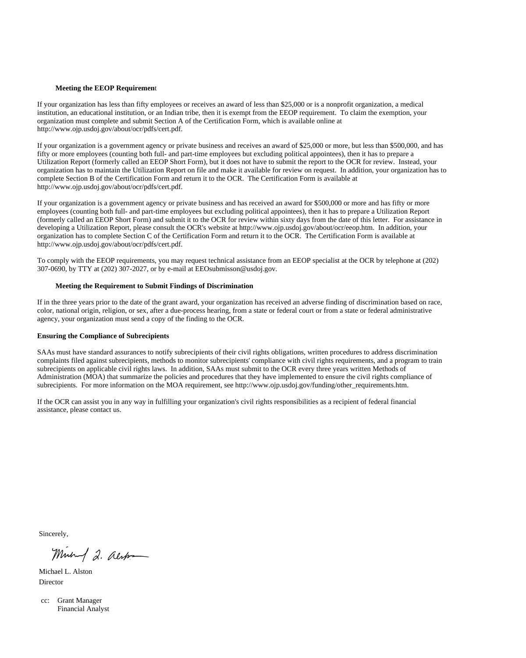#### **Meeting the EEOP Requiremen**t

If your organization has less than fifty employees or receives an award of less than \$25,000 or is a nonprofit organization, a medical institution, an educational institution, or an Indian tribe, then it is exempt from the EEOP requirement. To claim the exemption, your organization must complete and submit Section A of the Certification Form, which is available online at http://www.ojp.usdoj.gov/about/ocr/pdfs/cert.pdf.

If your organization is a government agency or private business and receives an award of \$25,000 or more, but less than \$500,000, and has fifty or more employees (counting both full- and part-time employees but excluding political appointees), then it has to prepare a Utilization Report (formerly called an EEOP Short Form), but it does not have to submit the report to the OCR for review. Instead, your organization has to maintain the Utilization Report on file and make it available for review on request. In addition, your organization has to complete Section B of the Certification Form and return it to the OCR. The Certification Form is available at http://www.ojp.usdoj.gov/about/ocr/pdfs/cert.pdf.

If your organization is a government agency or private business and has received an award for \$500,000 or more and has fifty or more employees (counting both full- and part-time employees but excluding political appointees), then it has to prepare a Utilization Report (formerly called an EEOP Short Form) and submit it to the OCR for review within sixty days from the date of this letter. For assistance in developing a Utilization Report, please consult the OCR's website at http://www.ojp.usdoj.gov/about/ocr/eeop.htm. In addition, your organization has to complete Section C of the Certification Form and return it to the OCR. The Certification Form is available at http://www.ojp.usdoj.gov/about/ocr/pdfs/cert.pdf.

To comply with the EEOP requirements, you may request technical assistance from an EEOP specialist at the OCR by telephone at (202) 307-0690, by TTY at (202) 307-2027, or by e-mail at EEOsubmisson@usdoj.gov.

#### **Meeting the Requirement to Submit Findings of Discrimination**

If in the three years prior to the date of the grant award, your organization has received an adverse finding of discrimination based on race, color, national origin, religion, or sex, after a due-process hearing, from a state or federal court or from a state or federal administrative agency, your organization must send a copy of the finding to the OCR.

#### **Ensuring the Compliance of Subrecipients**

SAAs must have standard assurances to notify subrecipients of their civil rights obligations, written procedures to address discrimination complaints filed against subrecipients, methods to monitor subrecipients' compliance with civil rights requirements, and a program to train subrecipients on applicable civil rights laws. In addition, SAAs must submit to the OCR every three years written Methods of Administration (MOA) that summarize the policies and procedures that they have implemented to ensure the civil rights compliance of subrecipients. For more information on the MOA requirement, see http://www.ojp.usdoj.gov/funding/other\_requirements.htm.

If the OCR can assist you in any way in fulfilling your organization's civil rights responsibilities as a recipient of federal financial assistance, please contact us.

Sincerely,

Minut 2. alst

Michael L. Alston Director

cc: Grant Manager Financial Analyst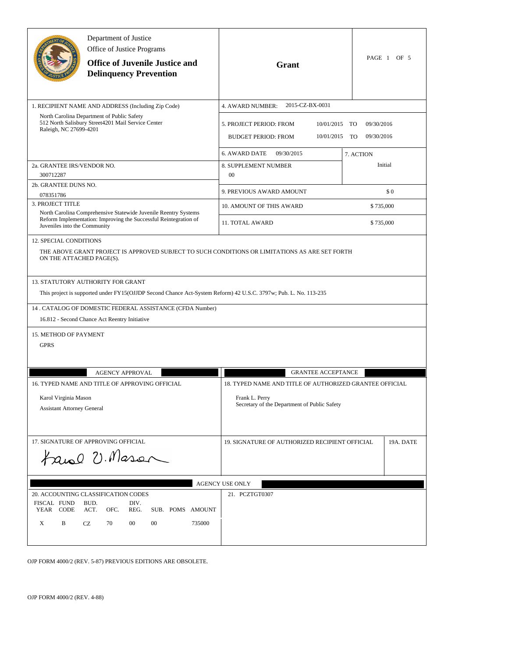|                                                                                                                             | Department of Justice<br>Office of Justice Programs<br><b>Office of Juvenile Justice and</b><br><b>Delinquency Prevention</b>                                                                                                                                      | Grant                                                                                                                     | PAGE 1 OF 5                                 |
|-----------------------------------------------------------------------------------------------------------------------------|--------------------------------------------------------------------------------------------------------------------------------------------------------------------------------------------------------------------------------------------------------------------|---------------------------------------------------------------------------------------------------------------------------|---------------------------------------------|
|                                                                                                                             | 1. RECIPIENT NAME AND ADDRESS (Including Zip Code)                                                                                                                                                                                                                 | 2015-CZ-BX-0031<br>4. AWARD NUMBER:                                                                                       |                                             |
| North Carolina Department of Public Safety<br>512 North Salisbury Street 4201 Mail Service Center<br>Raleigh, NC 27699-4201 |                                                                                                                                                                                                                                                                    | 5. PROJECT PERIOD: FROM<br>10/01/2015<br><b>BUDGET PERIOD: FROM</b><br>10/01/2015                                         | TO<br>09/30/2016<br>09/30/2016<br><b>TO</b> |
|                                                                                                                             |                                                                                                                                                                                                                                                                    | 6. AWARD DATE<br>09/30/2015                                                                                               | 7. ACTION<br>Initial                        |
| 2a. GRANTEE IRS/VENDOR NO.<br>300712287                                                                                     |                                                                                                                                                                                                                                                                    | 8. SUPPLEMENT NUMBER<br>00                                                                                                |                                             |
| 2b. GRANTEE DUNS NO.<br>078351786                                                                                           |                                                                                                                                                                                                                                                                    | 9. PREVIOUS AWARD AMOUNT                                                                                                  | \$0                                         |
| 3. PROJECT TITLE                                                                                                            |                                                                                                                                                                                                                                                                    | <b>10. AMOUNT OF THIS AWARD</b>                                                                                           | \$735,000                                   |
| Juveniles into the Community                                                                                                | North Carolina Comprehensive Statewide Juvenile Reentry Systems<br>Reform Implementation: Improving the Successful Reintegration of                                                                                                                                | 11. TOTAL AWARD                                                                                                           | \$735,000                                   |
| <b>12. SPECIAL CONDITIONS</b><br>ON THE ATTACHED PAGE(S).                                                                   |                                                                                                                                                                                                                                                                    | THE ABOVE GRANT PROJECT IS APPROVED SUBJECT TO SUCH CONDITIONS OR LIMITATIONS AS ARE SET FORTH                            |                                             |
|                                                                                                                             | 13. STATUTORY AUTHORITY FOR GRANT<br>This project is supported under FY15(OJJDP Second Chance Act-System Reform) 42 U.S.C. 3797w; Pub. L. No. 113-235<br>14. CATALOG OF DOMESTIC FEDERAL ASSISTANCE (CFDA Number)<br>16.812 - Second Chance Act Reentry Initiative |                                                                                                                           |                                             |
| 15. METHOD OF PAYMENT<br><b>GPRS</b>                                                                                        |                                                                                                                                                                                                                                                                    |                                                                                                                           |                                             |
|                                                                                                                             | <b>AGENCY APPROVAL</b>                                                                                                                                                                                                                                             | <b>GRANTEE ACCEPTANCE</b>                                                                                                 |                                             |
| 16. TYPED NAME AND TITLE OF APPROVING OFFICIAL<br>Karol Virginia Mason<br><b>Assistant Attorney General</b>                 |                                                                                                                                                                                                                                                                    | 18. TYPED NAME AND TITLE OF AUTHORIZED GRANTEE OFFICIAL<br>Frank L. Perry<br>Secretary of the Department of Public Safety |                                             |
| 17. SIGNATURE OF APPROVING OFFICIAL<br>tanel U. Mason                                                                       |                                                                                                                                                                                                                                                                    | 19. SIGNATURE OF AUTHORIZED RECIPIENT OFFICIAL                                                                            | 19A. DATE                                   |
|                                                                                                                             |                                                                                                                                                                                                                                                                    | <b>AGENCY USE ONLY</b>                                                                                                    |                                             |
| FISCAL FUND<br>YEAR CODE<br>B<br>X                                                                                          | 20. ACCOUNTING CLASSIFICATION CODES<br>DIV.<br>BUD.<br>ACT.<br>OFC.<br>REG.<br>SUB. POMS AMOUNT<br>00<br>CZ<br>70<br>00<br>735000                                                                                                                                  | 21. PCZTGT0307                                                                                                            |                                             |

OJP FORM 4000/2 (REV. 5-87) PREVIOUS EDITIONS ARE OBSOLETE.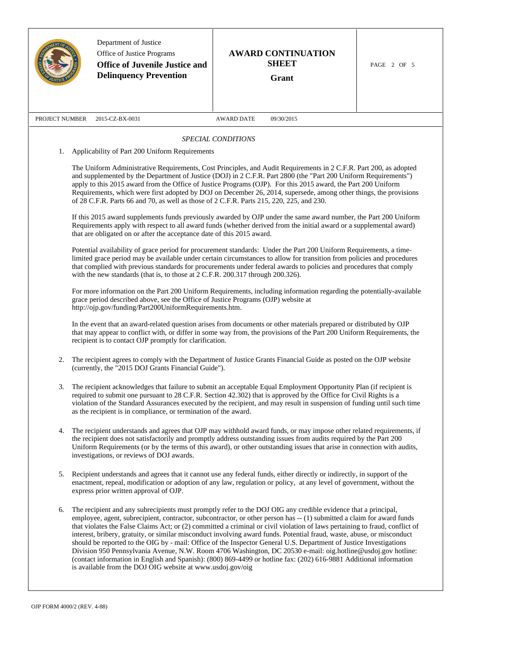|                                                                                                                                                                                                                                                                                                                                                                                                                                                                                                                                                                                                                                                                                                                                                                                                                                                                                             | Department of Justice<br>Office of Justice Programs<br><b>Office of Juvenile Justice and</b><br><b>Delinquency Prevention</b>                                                                                                                                                                                                                                                                                                         | <b>AWARD CONTINUATION</b><br><b>SHEET</b><br>Grant                                                                                                                                                                                                                                                                                                                                                                                                                                                                                                                                                                                                                                                                                                                                                                                                            | PAGE 2 OF 5 |  |
|---------------------------------------------------------------------------------------------------------------------------------------------------------------------------------------------------------------------------------------------------------------------------------------------------------------------------------------------------------------------------------------------------------------------------------------------------------------------------------------------------------------------------------------------------------------------------------------------------------------------------------------------------------------------------------------------------------------------------------------------------------------------------------------------------------------------------------------------------------------------------------------------|---------------------------------------------------------------------------------------------------------------------------------------------------------------------------------------------------------------------------------------------------------------------------------------------------------------------------------------------------------------------------------------------------------------------------------------|---------------------------------------------------------------------------------------------------------------------------------------------------------------------------------------------------------------------------------------------------------------------------------------------------------------------------------------------------------------------------------------------------------------------------------------------------------------------------------------------------------------------------------------------------------------------------------------------------------------------------------------------------------------------------------------------------------------------------------------------------------------------------------------------------------------------------------------------------------------|-------------|--|
| PROJECT NUMBER                                                                                                                                                                                                                                                                                                                                                                                                                                                                                                                                                                                                                                                                                                                                                                                                                                                                              | 2015-CZ-BX-0031                                                                                                                                                                                                                                                                                                                                                                                                                       | 09/30/2015<br><b>AWARD DATE</b>                                                                                                                                                                                                                                                                                                                                                                                                                                                                                                                                                                                                                                                                                                                                                                                                                               |             |  |
|                                                                                                                                                                                                                                                                                                                                                                                                                                                                                                                                                                                                                                                                                                                                                                                                                                                                                             |                                                                                                                                                                                                                                                                                                                                                                                                                                       | SPECIAL CONDITIONS                                                                                                                                                                                                                                                                                                                                                                                                                                                                                                                                                                                                                                                                                                                                                                                                                                            |             |  |
| 1.                                                                                                                                                                                                                                                                                                                                                                                                                                                                                                                                                                                                                                                                                                                                                                                                                                                                                          | Applicability of Part 200 Uniform Requirements                                                                                                                                                                                                                                                                                                                                                                                        |                                                                                                                                                                                                                                                                                                                                                                                                                                                                                                                                                                                                                                                                                                                                                                                                                                                               |             |  |
| The Uniform Administrative Requirements, Cost Principles, and Audit Requirements in 2 C.F.R. Part 200, as adopted<br>and supplemented by the Department of Justice (DOJ) in 2 C.F.R. Part 2800 (the "Part 200 Uniform Requirements")<br>apply to this 2015 award from the Office of Justice Programs (OJP). For this 2015 award, the Part 200 Uniform<br>Requirements, which were first adopted by DOJ on December 26, 2014, supersede, among other things, the provisions<br>of 28 C.F.R. Parts 66 and 70, as well as those of 2 C.F.R. Parts 215, 220, 225, and 230.<br>If this 2015 award supplements funds previously awarded by OJP under the same award number, the Part 200 Uniform<br>Requirements apply with respect to all award funds (whether derived from the initial award or a supplemental award)<br>that are obligated on or after the acceptance date of this 2015 award. |                                                                                                                                                                                                                                                                                                                                                                                                                                       |                                                                                                                                                                                                                                                                                                                                                                                                                                                                                                                                                                                                                                                                                                                                                                                                                                                               |             |  |
| Potential availability of grace period for procurement standards: Under the Part 200 Uniform Requirements, a time-<br>limited grace period may be available under certain circumstances to allow for transition from policies and procedures<br>that complied with previous standards for procurements under federal awards to policies and procedures that comply<br>with the new standards (that is, to those at 2 C.F.R. 200.317 through 200.326).                                                                                                                                                                                                                                                                                                                                                                                                                                       |                                                                                                                                                                                                                                                                                                                                                                                                                                       |                                                                                                                                                                                                                                                                                                                                                                                                                                                                                                                                                                                                                                                                                                                                                                                                                                                               |             |  |
|                                                                                                                                                                                                                                                                                                                                                                                                                                                                                                                                                                                                                                                                                                                                                                                                                                                                                             | For more information on the Part 200 Uniform Requirements, including information regarding the potentially-available<br>grace period described above, see the Office of Justice Programs (OJP) website at<br>http://ojp.gov/funding/Part200UniformRequirements.htm.                                                                                                                                                                   |                                                                                                                                                                                                                                                                                                                                                                                                                                                                                                                                                                                                                                                                                                                                                                                                                                                               |             |  |
|                                                                                                                                                                                                                                                                                                                                                                                                                                                                                                                                                                                                                                                                                                                                                                                                                                                                                             | In the event that an award-related question arises from documents or other materials prepared or distributed by OJP<br>that may appear to conflict with, or differ in some way from, the provisions of the Part 200 Uniform Requirements, the<br>recipient is to contact OJP promptly for clarification.                                                                                                                              |                                                                                                                                                                                                                                                                                                                                                                                                                                                                                                                                                                                                                                                                                                                                                                                                                                                               |             |  |
| 2.                                                                                                                                                                                                                                                                                                                                                                                                                                                                                                                                                                                                                                                                                                                                                                                                                                                                                          | The recipient agrees to comply with the Department of Justice Grants Financial Guide as posted on the OJP website<br>(currently, the "2015 DOJ Grants Financial Guide").                                                                                                                                                                                                                                                              |                                                                                                                                                                                                                                                                                                                                                                                                                                                                                                                                                                                                                                                                                                                                                                                                                                                               |             |  |
| 3.                                                                                                                                                                                                                                                                                                                                                                                                                                                                                                                                                                                                                                                                                                                                                                                                                                                                                          | The recipient acknowledges that failure to submit an acceptable Equal Employment Opportunity Plan (if recipient is<br>required to submit one pursuant to 28 C.F.R. Section 42.302) that is approved by the Office for Civil Rights is a<br>violation of the Standard Assurances executed by the recipient, and may result in suspension of funding until such time<br>as the recipient is in compliance, or termination of the award. |                                                                                                                                                                                                                                                                                                                                                                                                                                                                                                                                                                                                                                                                                                                                                                                                                                                               |             |  |
| 4.                                                                                                                                                                                                                                                                                                                                                                                                                                                                                                                                                                                                                                                                                                                                                                                                                                                                                          | The recipient understands and agrees that OJP may withhold award funds, or may impose other related requirements, if<br>the recipient does not satisfactorily and promptly address outstanding issues from audits required by the Part 200<br>Uniform Requirements (or by the terms of this award), or other outstanding issues that arise in connection with audits,<br>investigations, or reviews of DOJ awards.                    |                                                                                                                                                                                                                                                                                                                                                                                                                                                                                                                                                                                                                                                                                                                                                                                                                                                               |             |  |
| 5.                                                                                                                                                                                                                                                                                                                                                                                                                                                                                                                                                                                                                                                                                                                                                                                                                                                                                          | Recipient understands and agrees that it cannot use any federal funds, either directly or indirectly, in support of the<br>enactment, repeal, modification or adoption of any law, regulation or policy, at any level of government, without the<br>express prior written approval of OJP.                                                                                                                                            |                                                                                                                                                                                                                                                                                                                                                                                                                                                                                                                                                                                                                                                                                                                                                                                                                                                               |             |  |
| 6.                                                                                                                                                                                                                                                                                                                                                                                                                                                                                                                                                                                                                                                                                                                                                                                                                                                                                          | is available from the DOJ OIG website at www.usdoj.gov/oig                                                                                                                                                                                                                                                                                                                                                                            | The recipient and any subrecipients must promptly refer to the DOJ OIG any credible evidence that a principal,<br>employee, agent, subrecipient, contractor, subcontractor, or other person has -- (1) submitted a claim for award funds<br>that violates the False Claims Act; or (2) committed a criminal or civil violation of laws pertaining to fraud, conflict of<br>interest, bribery, gratuity, or similar misconduct involving award funds. Potential fraud, waste, abuse, or misconduct<br>should be reported to the OIG by - mail: Office of the Inspector General U.S. Department of Justice Investigations<br>Division 950 Pennsylvania Avenue, N.W. Room 4706 Washington, DC 20530 e-mail: oig.hotline@usdoj.gov hotline:<br>(contact information in English and Spanish): (800) 869-4499 or hotline fax: (202) 616-9881 Additional information |             |  |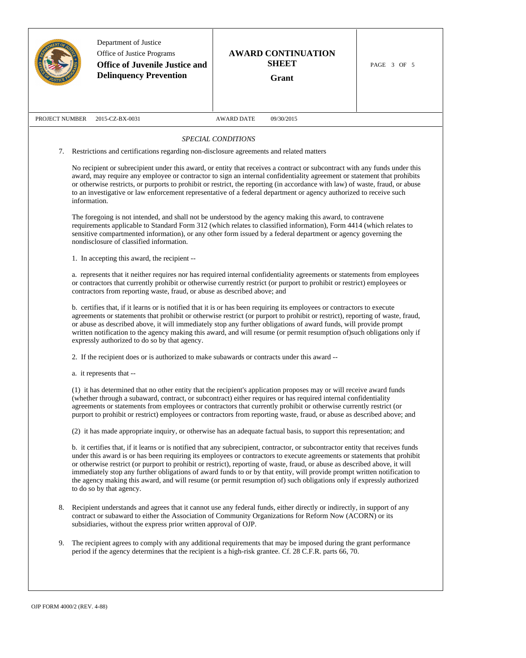|                                                                                                                                                                                                                                                                                                                                                                                                | Department of Justice<br>Office of Justice Programs<br><b>Office of Juvenile Justice and</b><br><b>Delinquency Prevention</b>                                                                                                                                                                                                                                                                                                                                                                                                                             | <b>AWARD CONTINUATION</b><br><b>SHEET</b><br>Grant                                                                                                                                                                                                                                                                                                                                                                                                                                                                                                                                                                                                | PAGE 3 OF 5 |  |  |
|------------------------------------------------------------------------------------------------------------------------------------------------------------------------------------------------------------------------------------------------------------------------------------------------------------------------------------------------------------------------------------------------|-----------------------------------------------------------------------------------------------------------------------------------------------------------------------------------------------------------------------------------------------------------------------------------------------------------------------------------------------------------------------------------------------------------------------------------------------------------------------------------------------------------------------------------------------------------|---------------------------------------------------------------------------------------------------------------------------------------------------------------------------------------------------------------------------------------------------------------------------------------------------------------------------------------------------------------------------------------------------------------------------------------------------------------------------------------------------------------------------------------------------------------------------------------------------------------------------------------------------|-------------|--|--|
| PROJECT NUMBER                                                                                                                                                                                                                                                                                                                                                                                 | 2015-CZ-BX-0031                                                                                                                                                                                                                                                                                                                                                                                                                                                                                                                                           | <b>AWARD DATE</b><br>09/30/2015                                                                                                                                                                                                                                                                                                                                                                                                                                                                                                                                                                                                                   |             |  |  |
|                                                                                                                                                                                                                                                                                                                                                                                                |                                                                                                                                                                                                                                                                                                                                                                                                                                                                                                                                                           | SPECIAL CONDITIONS                                                                                                                                                                                                                                                                                                                                                                                                                                                                                                                                                                                                                                |             |  |  |
| 7.                                                                                                                                                                                                                                                                                                                                                                                             | Restrictions and certifications regarding non-disclosure agreements and related matters                                                                                                                                                                                                                                                                                                                                                                                                                                                                   |                                                                                                                                                                                                                                                                                                                                                                                                                                                                                                                                                                                                                                                   |             |  |  |
| information.                                                                                                                                                                                                                                                                                                                                                                                   |                                                                                                                                                                                                                                                                                                                                                                                                                                                                                                                                                           | No recipient or subrecipient under this award, or entity that receives a contract or subcontract with any funds under this<br>award, may require any employee or contractor to sign an internal confidentiality agreement or statement that prohibits<br>or otherwise restricts, or purports to prohibit or restrict, the reporting (in accordance with law) of waste, fraud, or abuse<br>to an investigative or law enforcement representative of a federal department or agency authorized to receive such                                                                                                                                      |             |  |  |
| The foregoing is not intended, and shall not be understood by the agency making this award, to contravene<br>requirements applicable to Standard Form 312 (which relates to classified information), Form 4414 (which relates to<br>sensitive compartmented information), or any other form issued by a federal department or agency governing the<br>nondisclosure of classified information. |                                                                                                                                                                                                                                                                                                                                                                                                                                                                                                                                                           |                                                                                                                                                                                                                                                                                                                                                                                                                                                                                                                                                                                                                                                   |             |  |  |
|                                                                                                                                                                                                                                                                                                                                                                                                | 1. In accepting this award, the recipient --                                                                                                                                                                                                                                                                                                                                                                                                                                                                                                              |                                                                                                                                                                                                                                                                                                                                                                                                                                                                                                                                                                                                                                                   |             |  |  |
|                                                                                                                                                                                                                                                                                                                                                                                                | a. represents that it neither requires nor has required internal confidentiality agreements or statements from employees<br>or contractors that currently prohibit or otherwise currently restrict (or purport to prohibit or restrict) employees or<br>contractors from reporting waste, fraud, or abuse as described above; and                                                                                                                                                                                                                         |                                                                                                                                                                                                                                                                                                                                                                                                                                                                                                                                                                                                                                                   |             |  |  |
|                                                                                                                                                                                                                                                                                                                                                                                                | b. certifies that, if it learns or is notified that it is or has been requiring its employees or contractors to execute<br>agreements or statements that prohibit or otherwise restrict (or purport to prohibit or restrict), reporting of waste, fraud,<br>or abuse as described above, it will immediately stop any further obligations of award funds, will provide prompt<br>written notification to the agency making this award, and will resume (or permit resumption of)such obligations only if<br>expressly authorized to do so by that agency. |                                                                                                                                                                                                                                                                                                                                                                                                                                                                                                                                                                                                                                                   |             |  |  |
|                                                                                                                                                                                                                                                                                                                                                                                                |                                                                                                                                                                                                                                                                                                                                                                                                                                                                                                                                                           | 2. If the recipient does or is authorized to make subawards or contracts under this award --                                                                                                                                                                                                                                                                                                                                                                                                                                                                                                                                                      |             |  |  |
|                                                                                                                                                                                                                                                                                                                                                                                                | a. it represents that --                                                                                                                                                                                                                                                                                                                                                                                                                                                                                                                                  |                                                                                                                                                                                                                                                                                                                                                                                                                                                                                                                                                                                                                                                   |             |  |  |
|                                                                                                                                                                                                                                                                                                                                                                                                | (1) it has determined that no other entity that the recipient's application proposes may or will receive award funds<br>(whether through a subaward, contract, or subcontract) either requires or has required internal confidentiality<br>agreements or statements from employees or contractors that currently prohibit or otherwise currently restrict (or<br>purport to prohibit or restrict) employees or contractors from reporting waste, fraud, or abuse as described above; and                                                                  |                                                                                                                                                                                                                                                                                                                                                                                                                                                                                                                                                                                                                                                   |             |  |  |
|                                                                                                                                                                                                                                                                                                                                                                                                | (2) it has made appropriate inquiry, or otherwise has an adequate factual basis, to support this representation; and                                                                                                                                                                                                                                                                                                                                                                                                                                      |                                                                                                                                                                                                                                                                                                                                                                                                                                                                                                                                                                                                                                                   |             |  |  |
|                                                                                                                                                                                                                                                                                                                                                                                                | to do so by that agency.                                                                                                                                                                                                                                                                                                                                                                                                                                                                                                                                  | b. it certifies that, if it learns or is notified that any subrecipient, contractor, or subcontractor entity that receives funds<br>under this award is or has been requiring its employees or contractors to execute agreements or statements that prohibit<br>or otherwise restrict (or purport to prohibit or restrict), reporting of waste, fraud, or abuse as described above, it will<br>immediately stop any further obligations of award funds to or by that entity, will provide prompt written notification to<br>the agency making this award, and will resume (or permit resumption of) such obligations only if expressly authorized |             |  |  |
| 8.                                                                                                                                                                                                                                                                                                                                                                                             | subsidiaries, without the express prior written approval of OJP.                                                                                                                                                                                                                                                                                                                                                                                                                                                                                          | Recipient understands and agrees that it cannot use any federal funds, either directly or indirectly, in support of any<br>contract or subaward to either the Association of Community Organizations for Reform Now (ACORN) or its                                                                                                                                                                                                                                                                                                                                                                                                                |             |  |  |
| 9.                                                                                                                                                                                                                                                                                                                                                                                             |                                                                                                                                                                                                                                                                                                                                                                                                                                                                                                                                                           | The recipient agrees to comply with any additional requirements that may be imposed during the grant performance<br>period if the agency determines that the recipient is a high-risk grantee. Cf. 28 C.F.R. parts 66, 70.                                                                                                                                                                                                                                                                                                                                                                                                                        |             |  |  |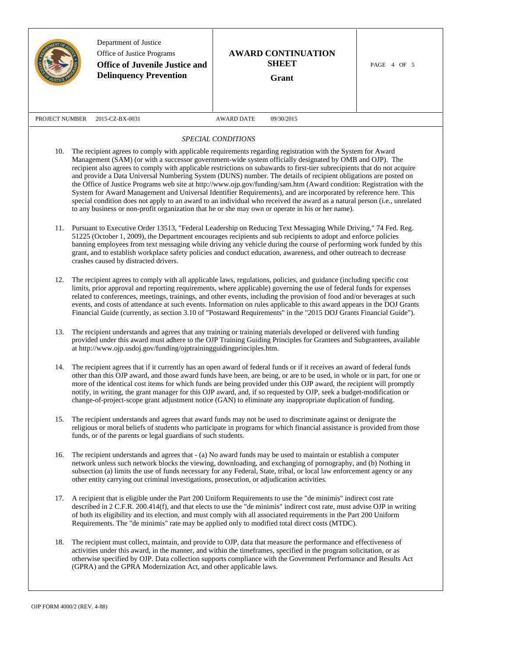|                                                                                                                                                                                                                                                                                                                                                                                                                                                                                                                                                                                                                                                                                                                                                                                                                                                                                                                                                               | Department of Justice<br>Office of Justice Programs<br><b>Office of Juvenile Justice and</b><br><b>Delinquency Prevention</b>                                                                                                                                                                                                                                                                                                                                                                                                                                                                                             | <b>AWARD CONTINUATION</b><br><b>SHEET</b><br>Grant                                                                                                                                                                                                                                                                                                                                                                                                                  | PAGE 4 OF 5 |
|---------------------------------------------------------------------------------------------------------------------------------------------------------------------------------------------------------------------------------------------------------------------------------------------------------------------------------------------------------------------------------------------------------------------------------------------------------------------------------------------------------------------------------------------------------------------------------------------------------------------------------------------------------------------------------------------------------------------------------------------------------------------------------------------------------------------------------------------------------------------------------------------------------------------------------------------------------------|---------------------------------------------------------------------------------------------------------------------------------------------------------------------------------------------------------------------------------------------------------------------------------------------------------------------------------------------------------------------------------------------------------------------------------------------------------------------------------------------------------------------------------------------------------------------------------------------------------------------------|---------------------------------------------------------------------------------------------------------------------------------------------------------------------------------------------------------------------------------------------------------------------------------------------------------------------------------------------------------------------------------------------------------------------------------------------------------------------|-------------|
| PROJECT NUMBER                                                                                                                                                                                                                                                                                                                                                                                                                                                                                                                                                                                                                                                                                                                                                                                                                                                                                                                                                | 2015-CZ-BX-0031                                                                                                                                                                                                                                                                                                                                                                                                                                                                                                                                                                                                           | <b>AWARD DATE</b><br>09/30/2015                                                                                                                                                                                                                                                                                                                                                                                                                                     |             |
|                                                                                                                                                                                                                                                                                                                                                                                                                                                                                                                                                                                                                                                                                                                                                                                                                                                                                                                                                               |                                                                                                                                                                                                                                                                                                                                                                                                                                                                                                                                                                                                                           | SPECIAL CONDITIONS                                                                                                                                                                                                                                                                                                                                                                                                                                                  |             |
| The recipient agrees to comply with applicable requirements regarding registration with the System for Award<br>10.<br>Management (SAM) (or with a successor government-wide system officially designated by OMB and OJP). The<br>recipient also agrees to comply with applicable restrictions on subawards to first-tier subrecipients that do not acquire<br>and provide a Data Universal Numbering System (DUNS) number. The details of recipient obligations are posted on<br>the Office of Justice Programs web site at http://www.ojp.gov/funding/sam.htm (Award condition: Registration with the<br>System for Award Management and Universal Identifier Requirements), and are incorporated by reference here. This<br>special condition does not apply to an award to an individual who received the award as a natural person (i.e., unrelated<br>to any business or non-profit organization that he or she may own or operate in his or her name). |                                                                                                                                                                                                                                                                                                                                                                                                                                                                                                                                                                                                                           |                                                                                                                                                                                                                                                                                                                                                                                                                                                                     |             |
| Pursuant to Executive Order 13513, "Federal Leadership on Reducing Text Messaging While Driving," 74 Fed. Reg.<br>11.<br>51225 (October 1, 2009), the Department encourages recipients and sub recipients to adopt and enforce policies<br>banning employees from text messaging while driving any vehicle during the course of performing work funded by this<br>grant, and to establish workplace safety policies and conduct education, awareness, and other outreach to decrease<br>crashes caused by distracted drivers.                                                                                                                                                                                                                                                                                                                                                                                                                                 |                                                                                                                                                                                                                                                                                                                                                                                                                                                                                                                                                                                                                           |                                                                                                                                                                                                                                                                                                                                                                                                                                                                     |             |
| 12.                                                                                                                                                                                                                                                                                                                                                                                                                                                                                                                                                                                                                                                                                                                                                                                                                                                                                                                                                           | The recipient agrees to comply with all applicable laws, regulations, policies, and guidance (including specific cost<br>limits, prior approval and reporting requirements, where applicable) governing the use of federal funds for expenses<br>related to conferences, meetings, trainings, and other events, including the provision of food and/or beverages at such<br>events, and costs of attendance at such events. Information on rules applicable to this award appears in the DOJ Grants<br>Financial Guide (currently, as section 3.10 of "Postaward Requirements" in the "2015 DOJ Grants Financial Guide"). |                                                                                                                                                                                                                                                                                                                                                                                                                                                                     |             |
| 13.                                                                                                                                                                                                                                                                                                                                                                                                                                                                                                                                                                                                                                                                                                                                                                                                                                                                                                                                                           | The recipient understands and agrees that any training or training materials developed or delivered with funding<br>provided under this award must adhere to the OJP Training Guiding Principles for Grantees and Subgrantees, available<br>at http://www.ojp.usdoj.gov/funding/ojptrainingguidingprinciples.htm.                                                                                                                                                                                                                                                                                                         |                                                                                                                                                                                                                                                                                                                                                                                                                                                                     |             |
| 14.                                                                                                                                                                                                                                                                                                                                                                                                                                                                                                                                                                                                                                                                                                                                                                                                                                                                                                                                                           | The recipient agrees that if it currently has an open award of federal funds or if it receives an award of federal funds<br>other than this OJP award, and those award funds have been, are being, or are to be used, in whole or in part, for one or<br>more of the identical cost items for which funds are being provided under this OJP award, the recipient will promptly<br>notify, in writing, the grant manager for this OJP award, and, if so requested by OJP, seek a budget-modification or<br>change-of-project-scope grant adjustment notice (GAN) to eliminate any inappropriate duplication of funding.    |                                                                                                                                                                                                                                                                                                                                                                                                                                                                     |             |
| 15.                                                                                                                                                                                                                                                                                                                                                                                                                                                                                                                                                                                                                                                                                                                                                                                                                                                                                                                                                           | The recipient understands and agrees that award funds may not be used to discriminate against or denigrate the<br>religious or moral beliefs of students who participate in programs for which financial assistance is provided from those<br>funds, or of the parents or legal guardians of such students.                                                                                                                                                                                                                                                                                                               |                                                                                                                                                                                                                                                                                                                                                                                                                                                                     |             |
| 16.                                                                                                                                                                                                                                                                                                                                                                                                                                                                                                                                                                                                                                                                                                                                                                                                                                                                                                                                                           | The recipient understands and agrees that - (a) No award funds may be used to maintain or establish a computer<br>network unless such network blocks the viewing, downloading, and exchanging of pornography, and (b) Nothing in<br>subsection (a) limits the use of funds necessary for any Federal, State, tribal, or local law enforcement agency or any<br>other entity carrying out criminal investigations, prosecution, or adjudication activities.                                                                                                                                                                |                                                                                                                                                                                                                                                                                                                                                                                                                                                                     |             |
| 17.                                                                                                                                                                                                                                                                                                                                                                                                                                                                                                                                                                                                                                                                                                                                                                                                                                                                                                                                                           |                                                                                                                                                                                                                                                                                                                                                                                                                                                                                                                                                                                                                           | A recipient that is eligible under the Part 200 Uniform Requirements to use the "de minimis" indirect cost rate<br>described in 2 C.F.R. 200.414(f), and that elects to use the "de minimis" indirect cost rate, must advise OJP in writing<br>of both its eligibility and its election, and must comply with all associated requirements in the Part 200 Uniform<br>Requirements. The "de minimis" rate may be applied only to modified total direct costs (MTDC). |             |
| 18.                                                                                                                                                                                                                                                                                                                                                                                                                                                                                                                                                                                                                                                                                                                                                                                                                                                                                                                                                           | (GPRA) and the GPRA Modernization Act, and other applicable laws.                                                                                                                                                                                                                                                                                                                                                                                                                                                                                                                                                         | The recipient must collect, maintain, and provide to OJP, data that measure the performance and effectiveness of<br>activities under this award, in the manner, and within the timeframes, specified in the program solicitation, or as<br>otherwise specified by OJP. Data collection supports compliance with the Government Performance and Results Act                                                                                                          |             |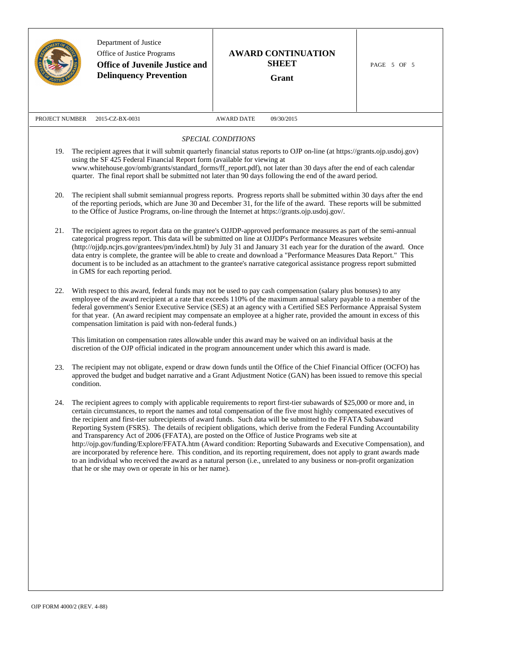|                                                                                                                                                                                                                                                                                                                                                                                                                                                  | Department of Justice<br>Office of Justice Programs<br><b>Office of Juvenile Justice and</b><br><b>Delinquency Prevention</b>                                                                                                                                                                                                                                                                                                                                                                                                                                                                                                                                     | <b>AWARD CONTINUATION</b><br><b>SHEET</b><br>Grant                                                                                                                                                                                                                                                                                                                                                                                                                                                                                                                                                                                                                                                                                                                                                                                                                                                                                                             | PAGE 5 OF 5 |  |
|--------------------------------------------------------------------------------------------------------------------------------------------------------------------------------------------------------------------------------------------------------------------------------------------------------------------------------------------------------------------------------------------------------------------------------------------------|-------------------------------------------------------------------------------------------------------------------------------------------------------------------------------------------------------------------------------------------------------------------------------------------------------------------------------------------------------------------------------------------------------------------------------------------------------------------------------------------------------------------------------------------------------------------------------------------------------------------------------------------------------------------|----------------------------------------------------------------------------------------------------------------------------------------------------------------------------------------------------------------------------------------------------------------------------------------------------------------------------------------------------------------------------------------------------------------------------------------------------------------------------------------------------------------------------------------------------------------------------------------------------------------------------------------------------------------------------------------------------------------------------------------------------------------------------------------------------------------------------------------------------------------------------------------------------------------------------------------------------------------|-------------|--|
| PROJECT NUMBER                                                                                                                                                                                                                                                                                                                                                                                                                                   | 2015-CZ-BX-0031                                                                                                                                                                                                                                                                                                                                                                                                                                                                                                                                                                                                                                                   | <b>AWARD DATE</b><br>09/30/2015                                                                                                                                                                                                                                                                                                                                                                                                                                                                                                                                                                                                                                                                                                                                                                                                                                                                                                                                |             |  |
|                                                                                                                                                                                                                                                                                                                                                                                                                                                  |                                                                                                                                                                                                                                                                                                                                                                                                                                                                                                                                                                                                                                                                   | SPECIAL CONDITIONS                                                                                                                                                                                                                                                                                                                                                                                                                                                                                                                                                                                                                                                                                                                                                                                                                                                                                                                                             |             |  |
| 19. The recipient agrees that it will submit quarterly financial status reports to OJP on-line (at https://grants.ojp.usdoj.gov)<br>using the SF 425 Federal Financial Report form (available for viewing at<br>www.whitehouse.gov/omb/grants/standard_forms/ff_report.pdf), not later than 30 days after the end of each calendar<br>quarter. The final report shall be submitted not later than 90 days following the end of the award period. |                                                                                                                                                                                                                                                                                                                                                                                                                                                                                                                                                                                                                                                                   |                                                                                                                                                                                                                                                                                                                                                                                                                                                                                                                                                                                                                                                                                                                                                                                                                                                                                                                                                                |             |  |
| The recipient shall submit semiannual progress reports. Progress reports shall be submitted within 30 days after the end<br>20.<br>of the reporting periods, which are June 30 and December 31, for the life of the award. These reports will be submitted<br>to the Office of Justice Programs, on-line through the Internet at https://grants.ojp.usdoj.gov/.                                                                                  |                                                                                                                                                                                                                                                                                                                                                                                                                                                                                                                                                                                                                                                                   |                                                                                                                                                                                                                                                                                                                                                                                                                                                                                                                                                                                                                                                                                                                                                                                                                                                                                                                                                                |             |  |
| 21.                                                                                                                                                                                                                                                                                                                                                                                                                                              | The recipient agrees to report data on the grantee's OJJDP-approved performance measures as part of the semi-annual<br>categorical progress report. This data will be submitted on line at OJJDP's Performance Measures website<br>(http://ojjdp.ncjrs.gov/grantees/pm/index.html) by July 31 and January 31 each year for the duration of the award. Once<br>data entry is complete, the grantee will be able to create and download a "Performance Measures Data Report." This<br>document is to be included as an attachment to the grantee's narrative categorical assistance progress report submitted<br>in GMS for each reporting period.                  |                                                                                                                                                                                                                                                                                                                                                                                                                                                                                                                                                                                                                                                                                                                                                                                                                                                                                                                                                                |             |  |
| 22.                                                                                                                                                                                                                                                                                                                                                                                                                                              | With respect to this award, federal funds may not be used to pay cash compensation (salary plus bonuses) to any<br>employee of the award recipient at a rate that exceeds 110% of the maximum annual salary payable to a member of the<br>federal government's Senior Executive Service (SES) at an agency with a Certified SES Performance Appraisal System<br>for that year. (An award recipient may compensate an employee at a higher rate, provided the amount in excess of this<br>compensation limitation is paid with non-federal funds.)<br>This limitation on compensation rates allowable under this award may be waived on an individual basis at the |                                                                                                                                                                                                                                                                                                                                                                                                                                                                                                                                                                                                                                                                                                                                                                                                                                                                                                                                                                |             |  |
|                                                                                                                                                                                                                                                                                                                                                                                                                                                  | discretion of the OJP official indicated in the program announcement under which this award is made.                                                                                                                                                                                                                                                                                                                                                                                                                                                                                                                                                              |                                                                                                                                                                                                                                                                                                                                                                                                                                                                                                                                                                                                                                                                                                                                                                                                                                                                                                                                                                |             |  |
| 23.                                                                                                                                                                                                                                                                                                                                                                                                                                              | The recipient may not obligate, expend or draw down funds until the Office of the Chief Financial Officer (OCFO) has<br>approved the budget and budget narrative and a Grant Adjustment Notice (GAN) has been issued to remove this special<br>condition.                                                                                                                                                                                                                                                                                                                                                                                                         |                                                                                                                                                                                                                                                                                                                                                                                                                                                                                                                                                                                                                                                                                                                                                                                                                                                                                                                                                                |             |  |
| 24.                                                                                                                                                                                                                                                                                                                                                                                                                                              | that he or she may own or operate in his or her name).                                                                                                                                                                                                                                                                                                                                                                                                                                                                                                                                                                                                            | The recipient agrees to comply with applicable requirements to report first-tier subawards of \$25,000 or more and, in<br>certain circumstances, to report the names and total compensation of the five most highly compensated executives of<br>the recipient and first-tier subrecipients of award funds. Such data will be submitted to the FFATA Subaward<br>Reporting System (FSRS). The details of recipient obligations, which derive from the Federal Funding Accountability<br>and Transparency Act of 2006 (FFATA), are posted on the Office of Justice Programs web site at<br>http://ojp.gov/funding/Explore/FFATA.htm (Award condition: Reporting Subawards and Executive Compensation), and<br>are incorporated by reference here. This condition, and its reporting requirement, does not apply to grant awards made<br>to an individual who received the award as a natural person (i.e., unrelated to any business or non-profit organization |             |  |
|                                                                                                                                                                                                                                                                                                                                                                                                                                                  |                                                                                                                                                                                                                                                                                                                                                                                                                                                                                                                                                                                                                                                                   |                                                                                                                                                                                                                                                                                                                                                                                                                                                                                                                                                                                                                                                                                                                                                                                                                                                                                                                                                                |             |  |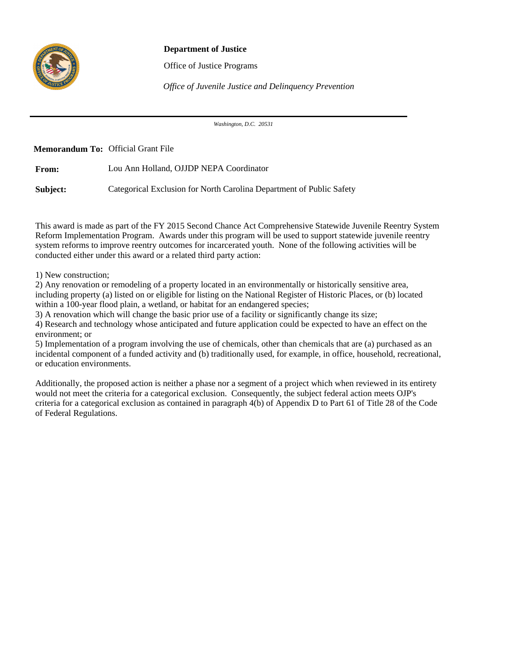

## **Department of Justice**

Office of Justice Programs

*Office of Juvenile Justice and Delinquency Prevention*

*Washington, D.C. 20531*

**Memorandum To:** Official Grant File

**From:** Lou Ann Holland, OJJDP NEPA Coordinator

**Subject:** Categorical Exclusion for North Carolina Department of Public Safety

This award is made as part of the FY 2015 Second Chance Act Comprehensive Statewide Juvenile Reentry System Reform Implementation Program. Awards under this program will be used to support statewide juvenile reentry system reforms to improve reentry outcomes for incarcerated youth. None of the following activities will be conducted either under this award or a related third party action:

1) New construction;

2) Any renovation or remodeling of a property located in an environmentally or historically sensitive area, including property (a) listed on or eligible for listing on the National Register of Historic Places, or (b) located within a 100-year flood plain, a wetland, or habitat for an endangered species;

3) A renovation which will change the basic prior use of a facility or significantly change its size;

4) Research and technology whose anticipated and future application could be expected to have an effect on the environment; or

5) Implementation of a program involving the use of chemicals, other than chemicals that are (a) purchased as an incidental component of a funded activity and (b) traditionally used, for example, in office, household, recreational, or education environments.

Additionally, the proposed action is neither a phase nor a segment of a project which when reviewed in its entirety would not meet the criteria for a categorical exclusion. Consequently, the subject federal action meets OJP's criteria for a categorical exclusion as contained in paragraph 4(b) of Appendix D to Part 61 of Title 28 of the Code of Federal Regulations.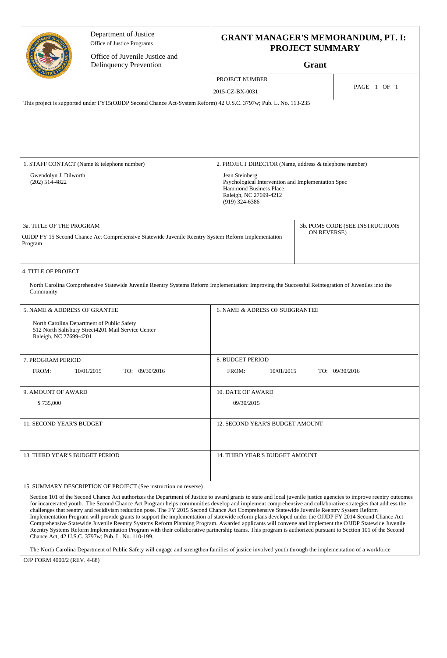|                                                                                                                                            | Department of Justice<br>Office of Justice Programs<br>Office of Juvenile Justice and                                                                                                                                                                                                                                                                                                              | <b>GRANT MANAGER'S MEMORANDUM, PT. I:</b><br><b>PROJECT SUMMARY</b>                                                                          |                                 |  |
|--------------------------------------------------------------------------------------------------------------------------------------------|----------------------------------------------------------------------------------------------------------------------------------------------------------------------------------------------------------------------------------------------------------------------------------------------------------------------------------------------------------------------------------------------------|----------------------------------------------------------------------------------------------------------------------------------------------|---------------------------------|--|
|                                                                                                                                            | <b>Delinquency Prevention</b>                                                                                                                                                                                                                                                                                                                                                                      | Grant                                                                                                                                        |                                 |  |
|                                                                                                                                            |                                                                                                                                                                                                                                                                                                                                                                                                    | PROJECT NUMBER                                                                                                                               |                                 |  |
|                                                                                                                                            |                                                                                                                                                                                                                                                                                                                                                                                                    | 2015-CZ-BX-0031                                                                                                                              | PAGE 1 OF 1                     |  |
|                                                                                                                                            | This project is supported under FY15(OJJDP Second Chance Act-System Reform) 42 U.S.C. 3797w; Pub. L. No. 113-235                                                                                                                                                                                                                                                                                   |                                                                                                                                              |                                 |  |
|                                                                                                                                            | 1. STAFF CONTACT (Name & telephone number)                                                                                                                                                                                                                                                                                                                                                         | 2. PROJECT DIRECTOR (Name, address & telephone number)                                                                                       |                                 |  |
| Gwendolyn J. Dilworth<br>$(202)$ 514-4822                                                                                                  |                                                                                                                                                                                                                                                                                                                                                                                                    | Jean Steinberg<br>Psychological Intervention and Implementation Spec<br>Hammond Business Place<br>Raleigh, NC 27699-4212<br>$(919)$ 324-6386 |                                 |  |
|                                                                                                                                            |                                                                                                                                                                                                                                                                                                                                                                                                    |                                                                                                                                              | 3b. POMS CODE (SEE INSTRUCTIONS |  |
| 3a. TITLE OF THE PROGRAM<br>OJJDP FY 15 Second Chance Act Comprehensive Statewide Juvenile Reentry System Reform Implementation<br>Program |                                                                                                                                                                                                                                                                                                                                                                                                    | ON REVERSE)                                                                                                                                  |                                 |  |
| 4. TITLE OF PROJECT<br>Community                                                                                                           | North Carolina Comprehensive Statewide Juvenile Reentry Systems Reform Implementation: Improving the Successful Reintegration of Juveniles into the                                                                                                                                                                                                                                                |                                                                                                                                              |                                 |  |
| 5. NAME & ADDRESS OF GRANTEE                                                                                                               |                                                                                                                                                                                                                                                                                                                                                                                                    | 6. NAME & ADRESS OF SUBGRANTEE                                                                                                               |                                 |  |
| Raleigh, NC 27699-4201                                                                                                                     | North Carolina Department of Public Safety<br>512 North Salisbury Street 4201 Mail Service Center                                                                                                                                                                                                                                                                                                  |                                                                                                                                              |                                 |  |
| 7. PROGRAM PERIOD                                                                                                                          |                                                                                                                                                                                                                                                                                                                                                                                                    | 8. BUDGET PERIOD                                                                                                                             |                                 |  |
| FROM:                                                                                                                                      | 10/01/2015<br>TO: 09/30/2016                                                                                                                                                                                                                                                                                                                                                                       | FROM:<br>10/01/2015<br>TO: 09/30/2016                                                                                                        |                                 |  |
| 9. AMOUNT OF AWARD                                                                                                                         |                                                                                                                                                                                                                                                                                                                                                                                                    | <b>10. DATE OF AWARD</b>                                                                                                                     |                                 |  |
| \$735,000                                                                                                                                  |                                                                                                                                                                                                                                                                                                                                                                                                    | 09/30/2015                                                                                                                                   |                                 |  |
| 11. SECOND YEAR'S BUDGET                                                                                                                   |                                                                                                                                                                                                                                                                                                                                                                                                    | 12. SECOND YEAR'S BUDGET AMOUNT                                                                                                              |                                 |  |
| 13. THIRD YEAR'S BUDGET PERIOD                                                                                                             |                                                                                                                                                                                                                                                                                                                                                                                                    | 14. THIRD YEAR'S BUDGET AMOUNT                                                                                                               |                                 |  |
|                                                                                                                                            | 15. SUMMARY DESCRIPTION OF PROJECT (See instruction on reverse)<br>Section 101 of the Second Chance Act authorizes the Department of Justice to award grants to state and local juvenile justice agencies to improve reentry outcomes<br>for incarcerated youth. The Second Chance Act Program helps communities develop and implement comprehensive and collaborative strategies that address the |                                                                                                                                              |                                 |  |

challenges that reentry and recidivism reduction pose. The FY 2015 Second Chance Act Comprehensive Statewide Juvenile Reentry System Reform Implementation Program will provide grants to support the implementation of statewide reform plans developed under the OJJDP FY 2014 Second Chance Act Comprehensive Statewide Juvenile Reentry Systems Reform Planning Program. Awarded applicants will convene and implement the OJJDP Statewide Juvenile Reentry Systems Reform Implementation Program with their collaborative partnership teams. This program is authorized pursuant to Section 101 of the Second Chance Act, 42 U.S.C. 3797w; Pub. L. No. 110-199.

The North Carolina Department of Public Safety will engage and strengthen families of justice involved youth through the implementation of a workforce

OJP FORM 4000/2 (REV. 4-88)